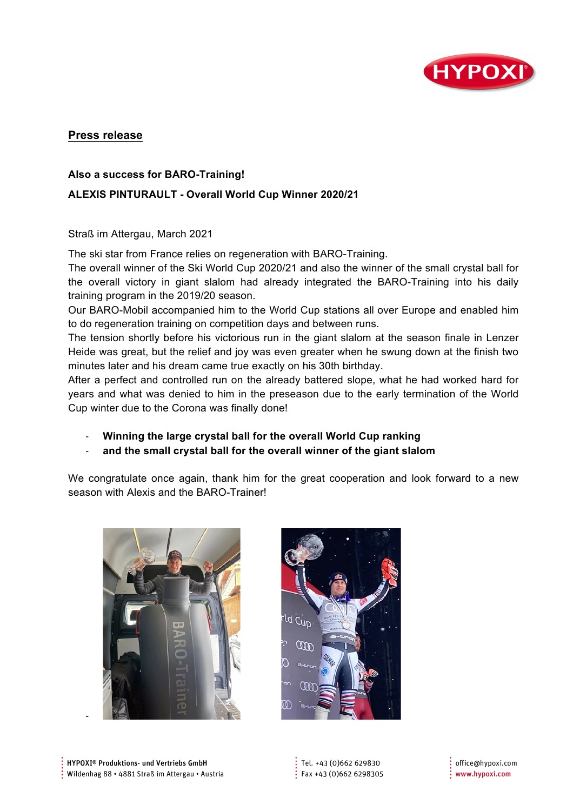

# **Press release**

#### **Also a success for BARO-Training!**

## **ALEXIS PINTURAULT - Overall World Cup Winner 2020/21**

Straß im Attergau, March 2021

The ski star from France relies on regeneration with BARO-Training.

The overall winner of the Ski World Cup 2020/21 and also the winner of the small crystal ball for the overall victory in giant slalom had already integrated the BARO-Training into his daily training program in the 2019/20 season.

Our BARO-Mobil accompanied him to the World Cup stations all over Europe and enabled him to do regeneration training on competition days and between runs.

The tension shortly before his victorious run in the giant slalom at the season finale in Lenzer Heide was great, but the relief and joy was even greater when he swung down at the finish two minutes later and his dream came true exactly on his 30th birthday.

After a perfect and controlled run on the already battered slope, what he had worked hard for years and what was denied to him in the preseason due to the early termination of the World Cup winter due to the Corona was finally done!

- **Winning the large crystal ball for the overall World Cup ranking** 

- **and the small crystal ball for the overall winner of the giant slalom**

We congratulate once again, thank him for the great cooperation and look forward to a new season with Alexis and the BARO-Trainer!